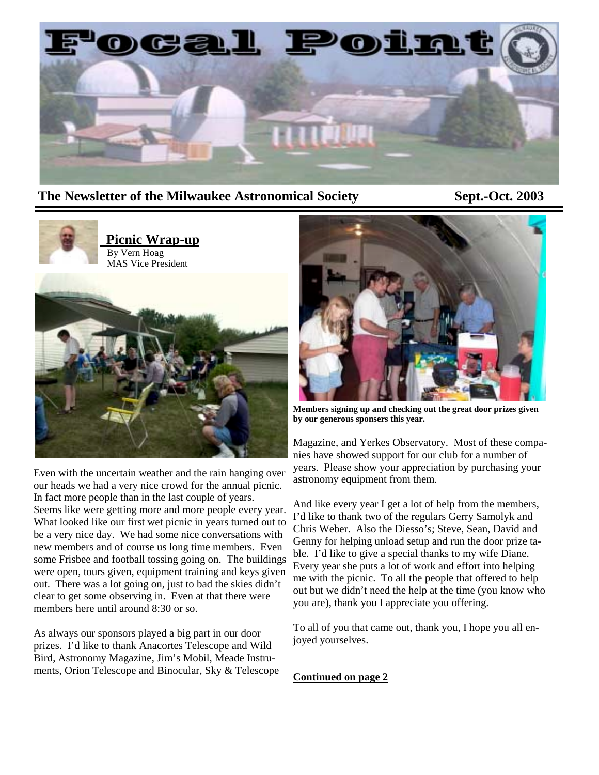

#### **The Newsletter of the Milwaukee Astronomical Society Sept.-Oct. 2003**



Even with the uncertain weather and the rain hanging over our heads we had a very nice crowd for the annual picnic. In fact more people than in the last couple of years. Seems like were getting more and more people every year. What looked like our first wet picnic in years turned out to be a very nice day. We had some nice conversations with new members and of course us long time members. Even some Frisbee and football tossing going on. The buildings were open, tours given, equipment training and keys given out. There was a lot going on, just to bad the skies didn't clear to get some observing in. Even at that there were members here until around 8:30 or so.

As always our sponsors played a big part in our door prizes. I'd like to thank Anacortes Telescope and Wild Bird, Astronomy Magazine, Jim's Mobil, Meade Instruments, Orion Telescope and Binocular, Sky & Telescope



**Members signing up and checking out the great door prizes given by our generous sponsers this year.** 

Magazine, and Yerkes Observatory. Most of these companies have showed support for our club for a number of years. Please show your appreciation by purchasing your astronomy equipment from them.

And like every year I get a lot of help from the members, I'd like to thank two of the regulars Gerry Samolyk and Chris Weber. Also the Diesso's; Steve, Sean, David and Genny for helping unload setup and run the door prize table. I'd like to give a special thanks to my wife Diane. Every year she puts a lot of work and effort into helping me with the picnic. To all the people that offered to help out but we didn't need the help at the time (you know who you are), thank you I appreciate you offering.

To all of you that came out, thank you, I hope you all enjoyed yourselves.

**Continued on page 2**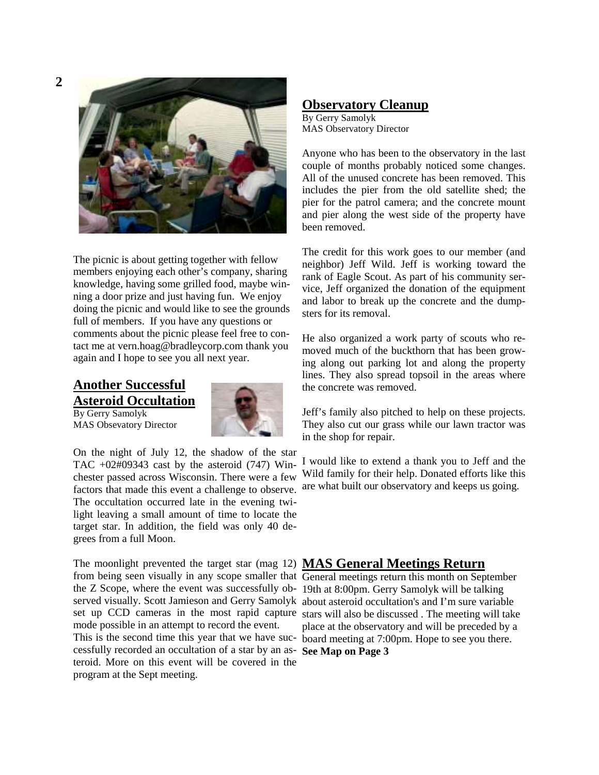

The picnic is about getting together with fellow members enjoying each other's company, sharing knowledge, having some grilled food, maybe winning a door prize and just having fun. We enjoy doing the picnic and would like to see the grounds full of members. If you have any questions or comments about the picnic please feel free to contact me at vern.hoag@bradleycorp.com thank you again and I hope to see you all next year.

## **Another Successful Asteroid Occultation**

By Gerry Samolyk MAS Obsevatory Director



On the night of July 12, the shadow of the star TAC  $+02\text{\#}09343$  cast by the asteroid (747) Winchester passed across Wisconsin. There were a few factors that made this event a challenge to observe. The occultation occurred late in the evening twilight leaving a small amount of time to locate the target star. In addition, the field was only 40 degrees from a full Moon.

The moonlight prevented the target star (mag 12) **MAS General Meetings Return** from being seen visually in any scope smaller that General meetings return this month on September the Z Scope, where the event was successfully ob-19th at 8:00pm. Gerry Samolyk will be talking served visually. Scott Jamieson and Gerry Samolyk about asteroid occultation's and I'm sure variable set up CCD cameras in the most rapid capture stars will also be discussed . The meeting will take mode possible in an attempt to record the event.

cessfully recorded an occultation of a star by an as-**See Map on Page 3** teroid. More on this event will be covered in the program at the Sept meeting.

#### **Observatory Cleanup**

By Gerry Samolyk MAS Observatory Director

Anyone who has been to the observatory in the last couple of months probably noticed some changes. All of the unused concrete has been removed. This includes the pier from the old satellite shed; the pier for the patrol camera; and the concrete mount and pier along the west side of the property have been removed.

The credit for this work goes to our member (and neighbor) Jeff Wild. Jeff is working toward the rank of Eagle Scout. As part of his community service, Jeff organized the donation of the equipment and labor to break up the concrete and the dumpsters for its removal.

He also organized a work party of scouts who removed much of the buckthorn that has been growing along out parking lot and along the property lines. They also spread topsoil in the areas where the concrete was removed.

Jeff's family also pitched to help on these projects. They also cut our grass while our lawn tractor was in the shop for repair.

I would like to extend a thank you to Jeff and the Wild family for their help. Donated efforts like this are what built our observatory and keeps us going.

This is the second time this year that we have suc-board meeting at 7:00pm. Hope to see you there. place at the observatory and will be preceded by a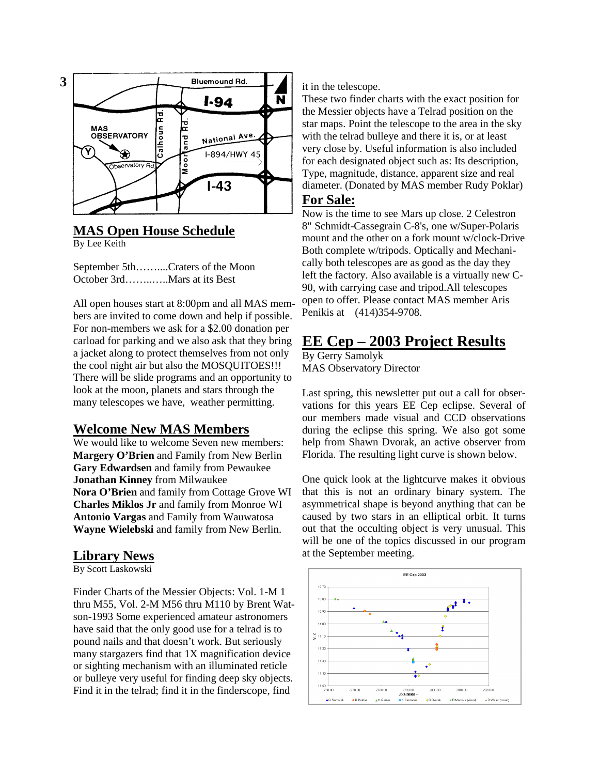

## **MAS Open House Schedule**

By Lee Keith

September 5th……....Craters of the Moon October 3rd……..…..Mars at its Best

All open houses start at 8:00pm and all MAS members are invited to come down and help if possible. For non-members we ask for a \$2.00 donation per carload for parking and we also ask that they bring a jacket along to protect themselves from not only the cool night air but also the MOSQUITOES!!! There will be slide programs and an opportunity to look at the moon, planets and stars through the many telescopes we have, weather permitting.

#### **Welcome New MAS Members**

We would like to welcome Seven new members: **Margery O'Brien** and Family from New Berlin **Gary Edwardsen** and family from Pewaukee **Jonathan Kinney** from Milwaukee **Nora O'Brien** and family from Cottage Grove WI **Charles Miklos Jr** and family from Monroe WI **Antonio Vargas** and Family from Wauwatosa **Wayne Wielebski** and family from New Berlin.

### **Library News**

By Scott Laskowski

Finder Charts of the Messier Objects: Vol. 1-M 1 thru M55, Vol. 2-M M56 thru M110 by Brent Watson-1993 Some experienced amateur astronomers have said that the only good use for a telrad is to pound nails and that doesn't work. But seriously many stargazers find that 1X magnification device or sighting mechanism with an illuminated reticle or bulleye very useful for finding deep sky objects. Find it in the telrad; find it in the finderscope, find

it in the telescope.

These two finder charts with the exact position for the Messier objects have a Telrad position on the star maps. Point the telescope to the area in the sky with the telrad bulleye and there it is, or at least very close by. Useful information is also included for each designated object such as: Its description, Type, magnitude, distance, apparent size and real diameter. (Donated by MAS member Rudy Poklar)

#### **For Sale:**

Now is the time to see Mars up close. 2 Celestron 8" Schmidt-Cassegrain C-8's, one w/Super-Polaris mount and the other on a fork mount w/clock-Drive Both complete w/tripods. Optically and Mechanically both telescopes are as good as the day they left the factory. Also available is a virtually new C-90, with carrying case and tripod.All telescopes open to offer. Please contact MAS member Aris Penikis at (414)354-9708.

# **EE Cep – 2003 Project Results**

By Gerry Samolyk MAS Observatory Director

Last spring, this newsletter put out a call for observations for this years EE Cep eclipse. Several of our members made visual and CCD observations during the eclipse this spring. We also got some help from Shawn Dvorak, an active observer from Florida. The resulting light curve is shown below.

One quick look at the lightcurve makes it obvious that this is not an ordinary binary system. The asymmetrical shape is beyond anything that can be caused by two stars in an elliptical orbit. It turns out that the occulting object is very unusual. This will be one of the topics discussed in our program at the September meeting.